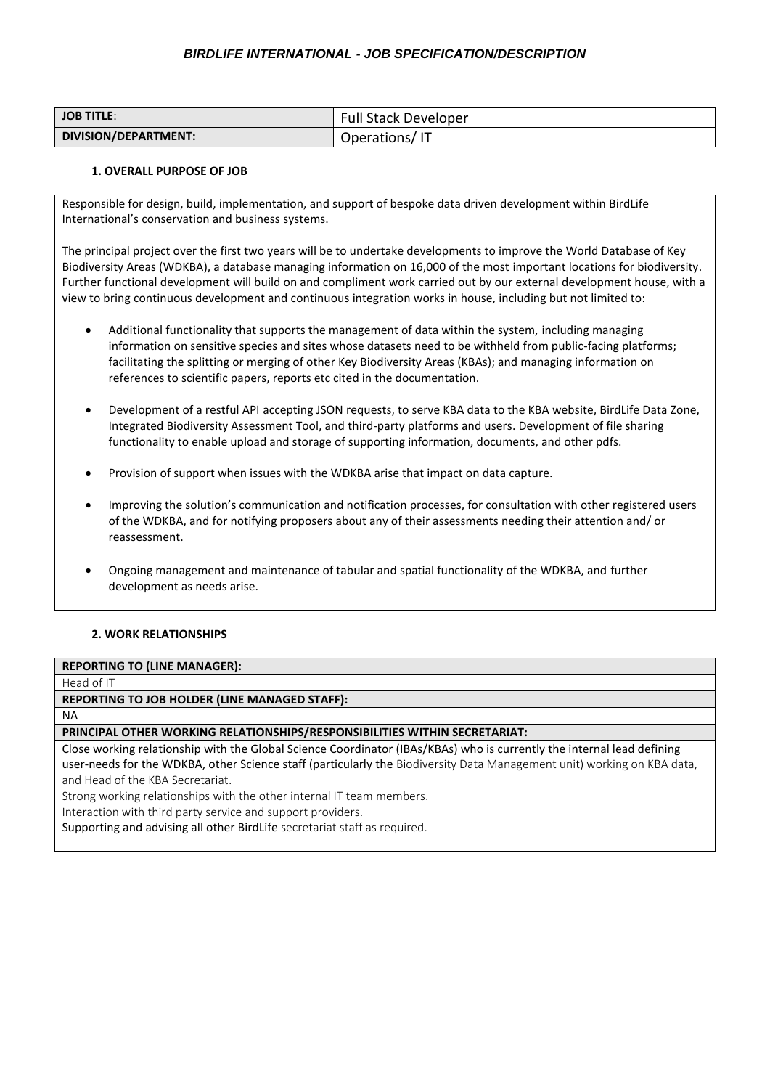## *BIRDLIFE INTERNATIONAL - JOB SPECIFICATION/DESCRIPTION*

| <b>JOB TITLE:</b>    | <b>Full Stack Developer</b> |
|----------------------|-----------------------------|
| DIVISION/DEPARTMENT: | Operations/IT               |

### **1. OVERALL PURPOSE OF JOB**

Responsible for design, build, implementation, and support of bespoke data driven development within BirdLife International's conservation and business systems.

The principal project over the first two years will be to undertake developments to improve the World Database of Key Biodiversity Areas (WDKBA), a database managing information on 16,000 of the most important locations for biodiversity. Further functional development will build on and compliment work carried out by our external development house, with a view to bring continuous development and continuous integration works in house, including but not limited to:

- Additional functionality that supports the management of data within the system, including managing information on sensitive species and sites whose datasets need to be withheld from public-facing platforms; facilitating the splitting or merging of other Key Biodiversity Areas (KBAs); and managing information on references to scientific papers, reports etc cited in the documentation.
- Development of a restful API accepting JSON requests, to serve KBA data to the KBA website, BirdLife Data Zone, Integrated Biodiversity Assessment Tool, and third-party platforms and users. Development of file sharing functionality to enable upload and storage of supporting information, documents, and other pdfs.
- Provision of support when issues with the WDKBA arise that impact on data capture.
- Improving the solution's communication and notification processes, for consultation with other registered users of the WDKBA, and for notifying proposers about any of their assessments needing their attention and/ or reassessment.
- Ongoing management and maintenance of tabular and spatial functionality of the WDKBA, and further development as needs arise.

#### **2. WORK RELATIONSHIPS**

## **REPORTING TO (LINE MANAGER):**

Head of IT

### **REPORTING TO JOB HOLDER (LINE MANAGED STAFF):**

NA

**PRINCIPAL OTHER WORKING RELATIONSHIPS/RESPONSIBILITIES WITHIN SECRETARIAT:**

Close working relationship with the Global Science Coordinator (IBAs/KBAs) who is currently the internal lead defining user-needs for the WDKBA, other Science staff (particularly the Biodiversity Data Management unit) working on KBA data, and Head of the KBA Secretariat.

Strong working relationships with the other internal IT team members.

Interaction with third party service and support providers.

Supporting and advising all other BirdLife secretariat staff as required.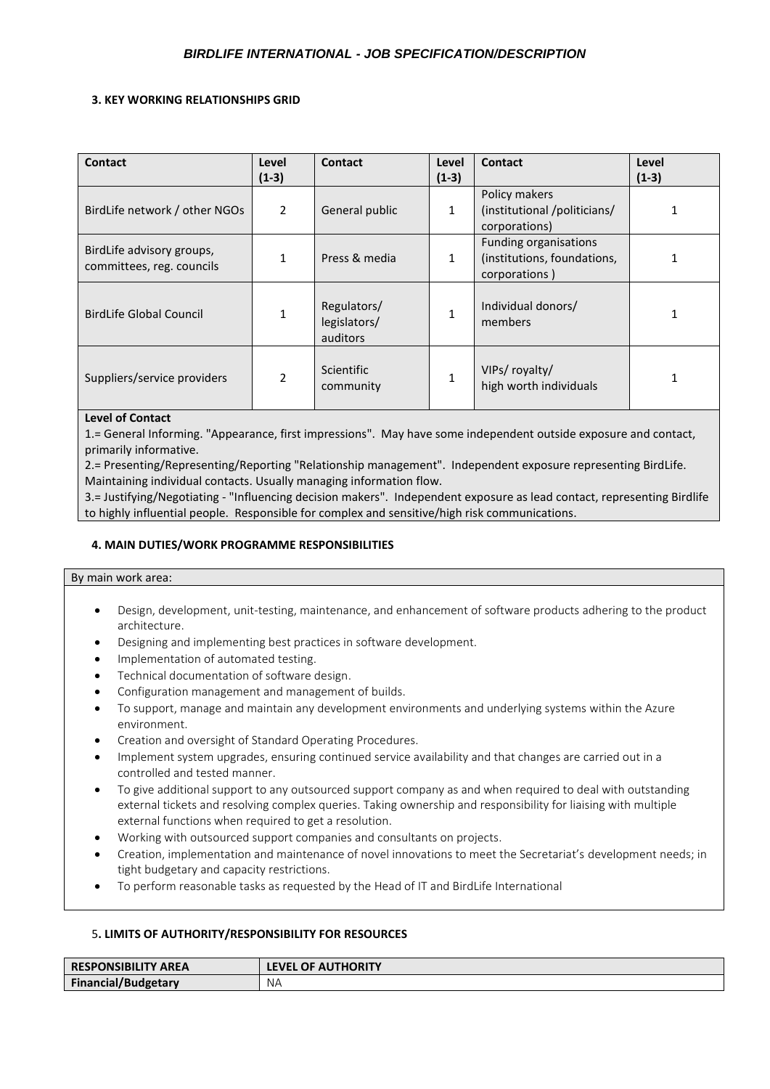### **3. KEY WORKING RELATIONSHIPS GRID**

| <b>Contact</b>                                         | Level<br>$(1-3)$ | Contact                                 | Level<br>$(1-3)$ | Contact                                                                      | Level<br>$(1-3)$ |
|--------------------------------------------------------|------------------|-----------------------------------------|------------------|------------------------------------------------------------------------------|------------------|
| BirdLife network / other NGOs                          | $\overline{2}$   | General public                          | 1                | Policy makers<br>(institutional /politicians/<br>corporations)               |                  |
| BirdLife advisory groups,<br>committees, reg. councils |                  | Press & media                           | $\mathbf{1}$     | <b>Funding organisations</b><br>(institutions, foundations,<br>corporations) |                  |
| <b>BirdLife Global Council</b>                         |                  | Regulators/<br>legislators/<br>auditors | $\mathbf{1}$     | Individual donors/<br>members                                                |                  |
| Suppliers/service providers                            | $\mathfrak z$    | Scientific<br>community                 | $\mathbf{1}$     | VIPs/ royalty/<br>high worth individuals                                     |                  |

### **Level of Contact**

1.= General Informing. "Appearance, first impressions". May have some independent outside exposure and contact, primarily informative.

2.= Presenting/Representing/Reporting "Relationship management". Independent exposure representing BirdLife. Maintaining individual contacts. Usually managing information flow.

3.= Justifying/Negotiating - "Influencing decision makers". Independent exposure as lead contact, representing Birdlife to highly influential people. Responsible for complex and sensitive/high risk communications.

### **4. MAIN DUTIES/WORK PROGRAMME RESPONSIBILITIES**

#### By main work area:

- Design, development, unit-testing, maintenance, and enhancement of software products adhering to the product architecture.
- Designing and implementing best practices in software development.
- Implementation of automated testing.
- Technical documentation of software design.
- Configuration management and management of builds.
- To support, manage and maintain any development environments and underlying systems within the Azure environment.
- Creation and oversight of Standard Operating Procedures.
- Implement system upgrades, ensuring continued service availability and that changes are carried out in a controlled and tested manner.
- To give additional support to any outsourced support company as and when required to deal with outstanding external tickets and resolving complex queries. Taking ownership and responsibility for liaising with multiple external functions when required to get a resolution.
- Working with outsourced support companies and consultants on projects.
- Creation, implementation and maintenance of novel innovations to meet the Secretariat's development needs; in tight budgetary and capacity restrictions.
- To perform reasonable tasks as requested by the Head of IT and BirdLife International

#### 5**. LIMITS OF AUTHORITY/RESPONSIBILITY FOR RESOURCES**

| <b>RESPONSIBILITY AREA</b> | <b>LEVEL OF AUTHORITY</b> |
|----------------------------|---------------------------|
| <b>Financial/Budgetary</b> | NA.                       |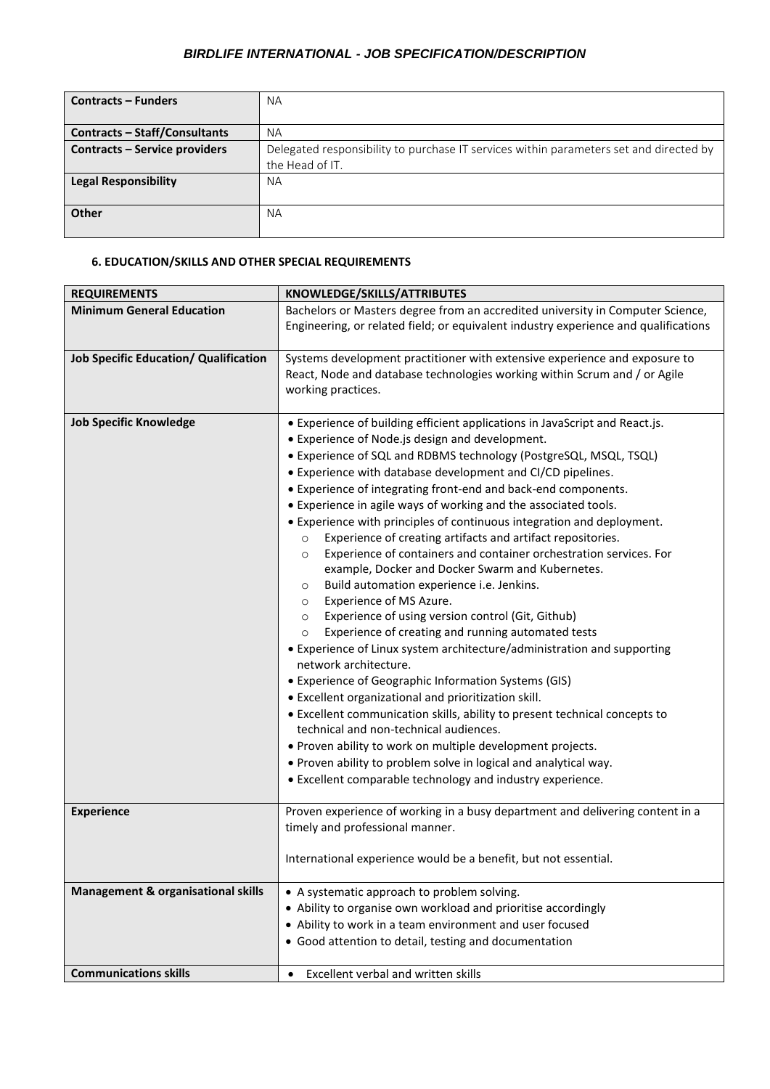# *BIRDLIFE INTERNATIONAL - JOB SPECIFICATION/DESCRIPTION*

| <b>Contracts - Funders</b>           | <b>NA</b>                                                                              |
|--------------------------------------|----------------------------------------------------------------------------------------|
|                                      |                                                                                        |
| <b>Contracts - Staff/Consultants</b> | NA.                                                                                    |
| <b>Contracts - Service providers</b> | Delegated responsibility to purchase IT services within parameters set and directed by |
|                                      | the Head of IT.                                                                        |
| <b>Legal Responsibility</b>          | NA.                                                                                    |
|                                      |                                                                                        |
| <b>Other</b>                         | NA.                                                                                    |
|                                      |                                                                                        |

### **6. EDUCATION/SKILLS AND OTHER SPECIAL REQUIREMENTS**

| <b>REQUIREMENTS</b>                           | KNOWLEDGE/SKILLS/ATTRIBUTES                                                                                                                                                                                                                                                                                                                                                                                                                                                                                                                                                                                                                                                                                                                                                                                                                                                                                                                                                                                                                                                                                                                                                                                                                                                                                                                                                                                                                                                 |
|-----------------------------------------------|-----------------------------------------------------------------------------------------------------------------------------------------------------------------------------------------------------------------------------------------------------------------------------------------------------------------------------------------------------------------------------------------------------------------------------------------------------------------------------------------------------------------------------------------------------------------------------------------------------------------------------------------------------------------------------------------------------------------------------------------------------------------------------------------------------------------------------------------------------------------------------------------------------------------------------------------------------------------------------------------------------------------------------------------------------------------------------------------------------------------------------------------------------------------------------------------------------------------------------------------------------------------------------------------------------------------------------------------------------------------------------------------------------------------------------------------------------------------------------|
| <b>Minimum General Education</b>              | Bachelors or Masters degree from an accredited university in Computer Science,                                                                                                                                                                                                                                                                                                                                                                                                                                                                                                                                                                                                                                                                                                                                                                                                                                                                                                                                                                                                                                                                                                                                                                                                                                                                                                                                                                                              |
|                                               | Engineering, or related field; or equivalent industry experience and qualifications                                                                                                                                                                                                                                                                                                                                                                                                                                                                                                                                                                                                                                                                                                                                                                                                                                                                                                                                                                                                                                                                                                                                                                                                                                                                                                                                                                                         |
| <b>Job Specific Education/ Qualification</b>  | Systems development practitioner with extensive experience and exposure to<br>React, Node and database technologies working within Scrum and / or Agile<br>working practices.                                                                                                                                                                                                                                                                                                                                                                                                                                                                                                                                                                                                                                                                                                                                                                                                                                                                                                                                                                                                                                                                                                                                                                                                                                                                                               |
| <b>Job Specific Knowledge</b>                 | • Experience of building efficient applications in JavaScript and React.js.<br>• Experience of Node.js design and development.<br>• Experience of SQL and RDBMS technology (PostgreSQL, MSQL, TSQL)<br>• Experience with database development and CI/CD pipelines.<br>• Experience of integrating front-end and back-end components.<br>• Experience in agile ways of working and the associated tools.<br>• Experience with principles of continuous integration and deployment.<br>Experience of creating artifacts and artifact repositories.<br>$\circ$<br>Experience of containers and container orchestration services. For<br>$\circ$<br>example, Docker and Docker Swarm and Kubernetes.<br>Build automation experience i.e. Jenkins.<br>$\circ$<br>Experience of MS Azure.<br>$\circ$<br>Experience of using version control (Git, Github)<br>$\circ$<br>Experience of creating and running automated tests<br>$\circ$<br>• Experience of Linux system architecture/administration and supporting<br>network architecture.<br>• Experience of Geographic Information Systems (GIS)<br>• Excellent organizational and prioritization skill.<br>• Excellent communication skills, ability to present technical concepts to<br>technical and non-technical audiences.<br>. Proven ability to work on multiple development projects.<br>. Proven ability to problem solve in logical and analytical way.<br>• Excellent comparable technology and industry experience. |
| <b>Experience</b>                             | Proven experience of working in a busy department and delivering content in a<br>timely and professional manner.<br>International experience would be a benefit, but not essential.                                                                                                                                                                                                                                                                                                                                                                                                                                                                                                                                                                                                                                                                                                                                                                                                                                                                                                                                                                                                                                                                                                                                                                                                                                                                                         |
|                                               |                                                                                                                                                                                                                                                                                                                                                                                                                                                                                                                                                                                                                                                                                                                                                                                                                                                                                                                                                                                                                                                                                                                                                                                                                                                                                                                                                                                                                                                                             |
| <b>Management &amp; organisational skills</b> | • A systematic approach to problem solving.<br>• Ability to organise own workload and prioritise accordingly<br>• Ability to work in a team environment and user focused<br>• Good attention to detail, testing and documentation                                                                                                                                                                                                                                                                                                                                                                                                                                                                                                                                                                                                                                                                                                                                                                                                                                                                                                                                                                                                                                                                                                                                                                                                                                           |
| <b>Communications skills</b>                  | Excellent verbal and written skills<br>$\bullet$                                                                                                                                                                                                                                                                                                                                                                                                                                                                                                                                                                                                                                                                                                                                                                                                                                                                                                                                                                                                                                                                                                                                                                                                                                                                                                                                                                                                                            |